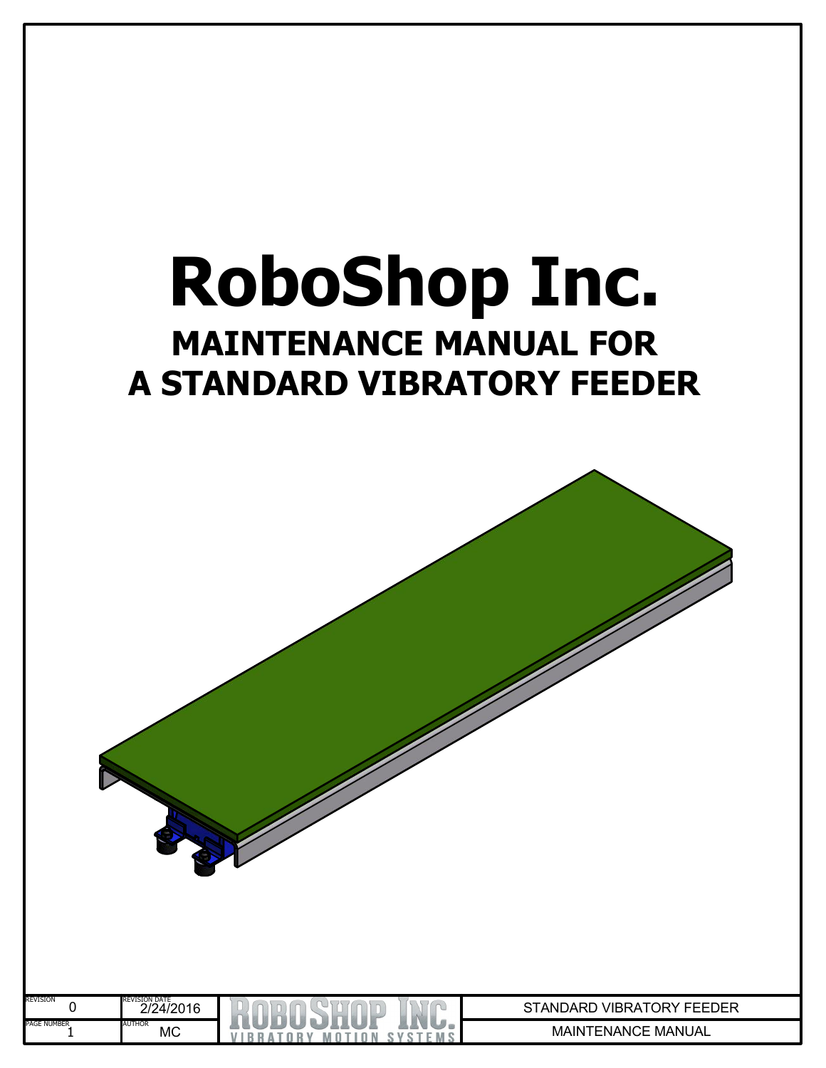## **RoboShop Inc. MAINTENANCE MANUAL FOR A STANDARD VIBRATORY FEEDER**

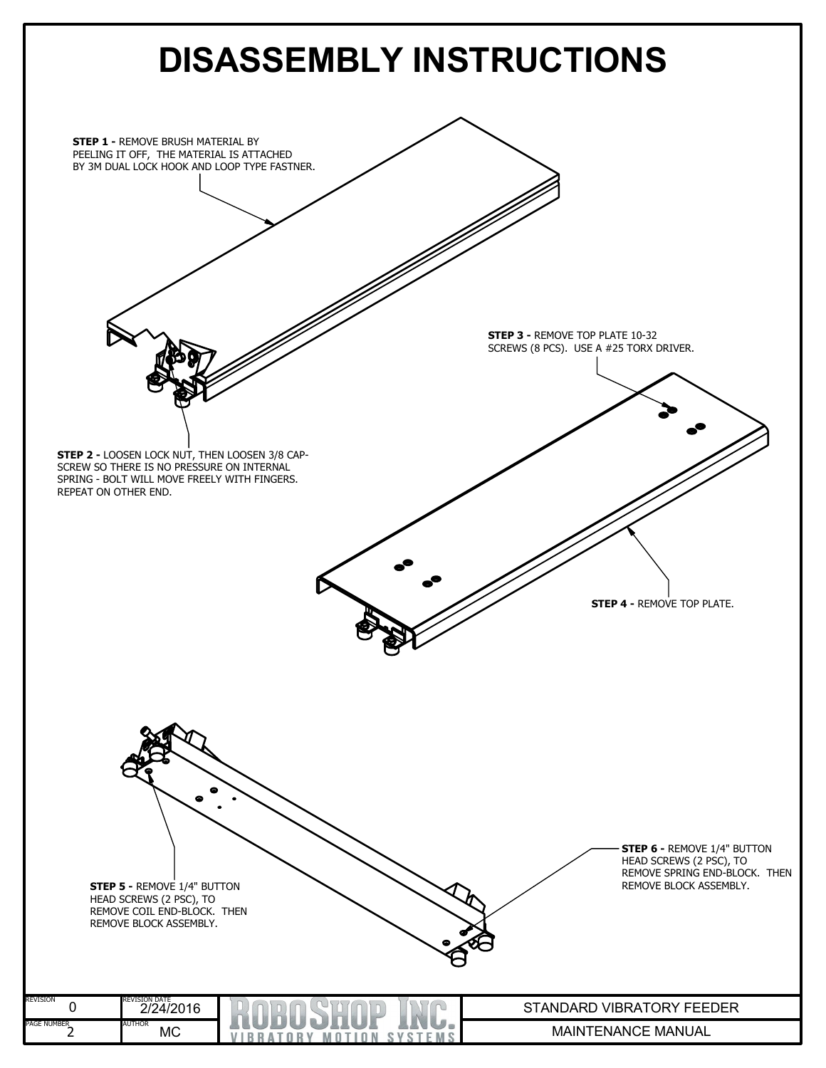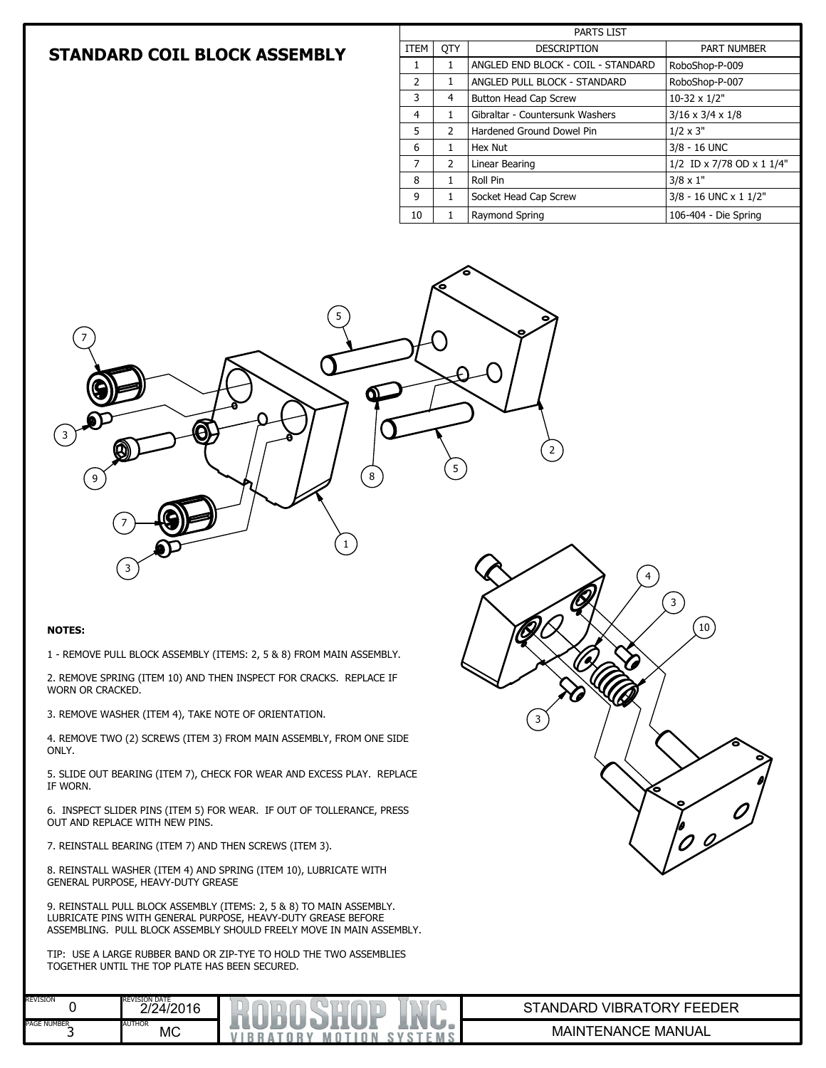## **STANDARD COIL BLOCK ASSEMBLY**

| <b>PARTS LIST</b> |               |                                    |                              |  |  |  |  |
|-------------------|---------------|------------------------------------|------------------------------|--|--|--|--|
| <b>ITEM</b>       | <b>OTY</b>    | <b>DESCRIPTION</b>                 | PART NUMBER                  |  |  |  |  |
| 1                 | 1             | ANGLED END BLOCK - COIL - STANDARD | RoboShop-P-009               |  |  |  |  |
| 2                 | 1             | ANGLED PULL BLOCK - STANDARD       | RoboShop-P-007               |  |  |  |  |
| 3                 | 4             | <b>Button Head Cap Screw</b>       | 10-32 x 1/2"                 |  |  |  |  |
| $\overline{4}$    | 1             | Gibraltar - Countersunk Washers    | $3/16 \times 3/4 \times 1/8$ |  |  |  |  |
| 5                 | $\mathcal{P}$ | Hardened Ground Dowel Pin          | $1/2 \times 3"$              |  |  |  |  |
| 6                 | 1             | Hex Nut                            | 3/8 - 16 UNC                 |  |  |  |  |
| 7                 | $\mathcal{P}$ | Linear Bearing                     | 1/2 ID x 7/78 OD x 1 1/4"    |  |  |  |  |
| 8                 | 1             | Roll Pin                           | $3/8 \times 1$ "             |  |  |  |  |
| 9                 | 1             | Socket Head Cap Screw              | 3/8 - 16 UNC x 1 1/2"        |  |  |  |  |
| 10                | 1             | Raymond Spring                     | 106-404 - Die Spring         |  |  |  |  |



7

9

3

7

3

1 - REMOVE PULL BLOCK ASSEMBLY (ITEMS: 2, 5 & 8) FROM MAIN ASSEMBLY.

A

2. REMOVE SPRING (ITEM 10) AND THEN INSPECT FOR CRACKS. REPLACE IF WORN OR CRACKED.

3. REMOVE WASHER (ITEM 4), TAKE NOTE OF ORIENTATION.

4. REMOVE TWO (2) SCREWS (ITEM 3) FROM MAIN ASSEMBLY, FROM ONE SIDE ONLY.

5. SLIDE OUT BEARING (ITEM 7), CHECK FOR WEAR AND EXCESS PLAY. REPLACE IF WORN.

6. INSPECT SLIDER PINS (ITEM 5) FOR WEAR. IF OUT OF TOLLERANCE, PRESS OUT AND REPLACE WITH NEW PINS.

7. REINSTALL BEARING (ITEM 7) AND THEN SCREWS (ITEM 3).

8. REINSTALL WASHER (ITEM 4) AND SPRING (ITEM 10), LUBRICATE WITH GENERAL PURPOSE, HEAVY-DUTY GREASE

9. REINSTALL PULL BLOCK ASSEMBLY (ITEMS: 2, 5 & 8) TO MAIN ASSEMBLY. LUBRICATE PINS WITH GENERAL PURPOSE, HEAVY-DUTY GREASE BEFORE ASSEMBLING. PULL BLOCK ASSEMBLY SHOULD FREELY MOVE IN MAIN ASSEMBLY.

TIP: USE A LARGE RUBBER BAND OR ZIP-TYE TO HOLD THE TWO ASSEMBLIES TOGETHER UNTIL THE TOP PLATE HAS BEEN SECURED.

| <b>REVISION</b>                             | <b>REVISION DATE</b><br>2/24/2016 | $\sim$<br><b>Service</b><br>m         | TDER .<br><b>VIBRA</b><br>TANDARD<br><sup>-</sup> ORነ<br>---- |
|---------------------------------------------|-----------------------------------|---------------------------------------|---------------------------------------------------------------|
| <b>PAGE NUMBER</b><br>$\tilde{\phantom{a}}$ | <b>AUTHOR</b><br>MC               | va<br>e<br>W<br>к<br>nл<br>m<br>n, 30 | MANUAL<br><b>MAIN</b><br>'ENANC<br>-                          |

5

2

3

 $\left(3\right)$ 

 $\mathcal{O}$ 

4

5

8

1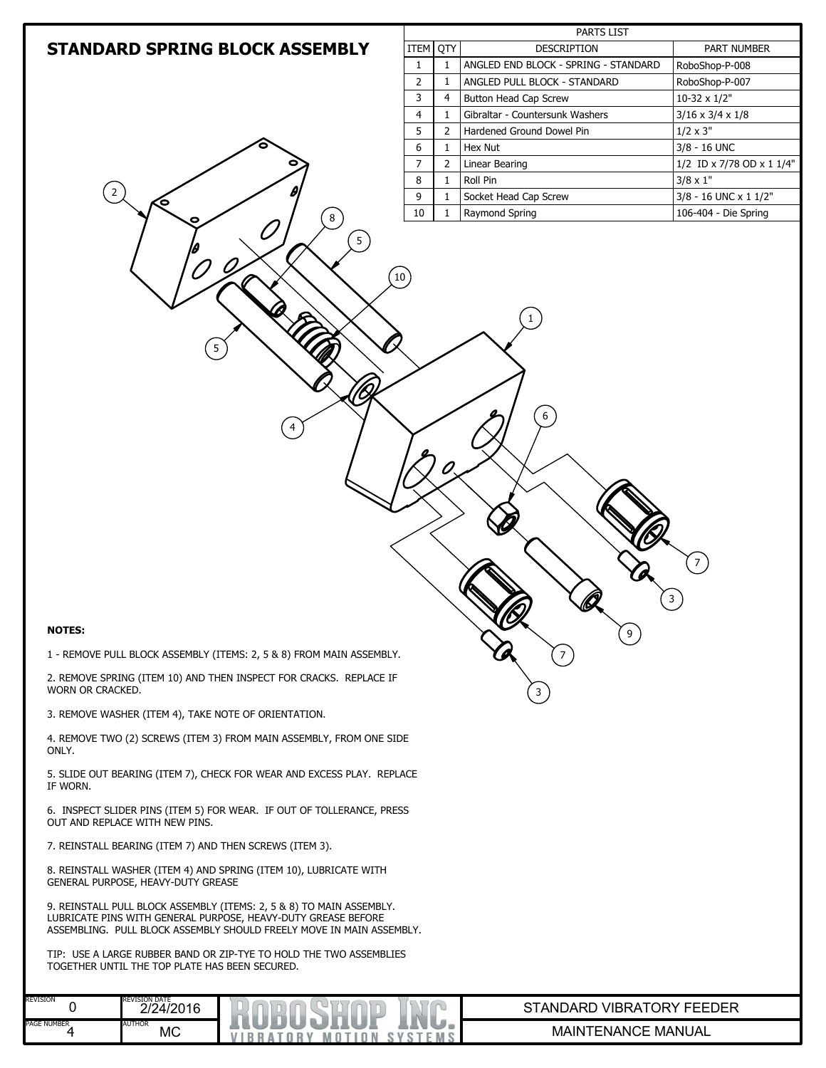|                                                                                                                                                                                                               |                |                | <b>PARTS LIST</b>                       |                                               |
|---------------------------------------------------------------------------------------------------------------------------------------------------------------------------------------------------------------|----------------|----------------|-----------------------------------------|-----------------------------------------------|
| <b>STANDARD SPRING BLOCK ASSEMBLY</b>                                                                                                                                                                         | ITEM           | QTY            | DESCRIPTION                             | PART NUMBER                                   |
|                                                                                                                                                                                                               | $\mathbf{1}$   | $\mathbf{1}$   | ANGLED END BLOCK - SPRING - STANDARD    | RoboShop-P-008                                |
|                                                                                                                                                                                                               | $\overline{2}$ | $\mathbf{1}$   | ANGLED PULL BLOCK - STANDARD            | RoboShop-P-007                                |
|                                                                                                                                                                                                               | 3              | $\overline{4}$ | Button Head Cap Screw                   | 10-32 x 1/2"                                  |
|                                                                                                                                                                                                               | $\overline{4}$ | 1              | Gibraltar - Countersunk Washers         | $3/16 \times 3/4 \times 1/8$                  |
|                                                                                                                                                                                                               | 5              | 2              | Hardened Ground Dowel Pin               | $1/2 \times 3"$                               |
|                                                                                                                                                                                                               | 6              | $\mathbf{1}$   | Hex Nut                                 | 3/8 - 16 UNC                                  |
|                                                                                                                                                                                                               | $\overline{7}$ | $\overline{2}$ | Linear Bearing                          | 1/2 ID x 7/78 OD x 1 1/4"                     |
| 2                                                                                                                                                                                                             | 8              | $\mathbf{1}$   | Roll Pin                                | $3/8 \times 1"$                               |
| О<br>$\bf 8$                                                                                                                                                                                                  | 9<br>10        | 1<br>1         | Socket Head Cap Screw<br>Raymond Spring | 3/8 - 16 UNC x 1 1/2"<br>106-404 - Die Spring |
|                                                                                                                                                                                                               | 10             |                | 6<br><b>VC</b>                          | 7                                             |
| <b>NOTES:</b><br>1 - REMOVE PULL BLOCK ASSEMBLY (ITEMS: 2, 5 & 8) FROM MAIN ASSEMBLY.                                                                                                                         |                |                | 9 <sub>1</sub><br>$\overline{7}$        |                                               |
| 2. REMOVE SPRING (ITEM 10) AND THEN INSPECT FOR CRACKS. REPLACE IF<br>WORN OR CRACKED.                                                                                                                        |                |                | 3                                       |                                               |
| 3. REMOVE WASHER (ITEM 4), TAKE NOTE OF ORIENTATION.                                                                                                                                                          |                |                |                                         |                                               |
| 4. REMOVE TWO (2) SCREWS (ITEM 3) FROM MAIN ASSEMBLY, FROM ONE SIDE<br>ONLY.                                                                                                                                  |                |                |                                         |                                               |
| 5. SLIDE OUT BEARING (ITEM 7), CHECK FOR WEAR AND EXCESS PLAY. REPLACE<br>IF WORN.                                                                                                                            |                |                |                                         |                                               |
| 6. INSPECT SLIDER PINS (ITEM 5) FOR WEAR. IF OUT OF TOLLERANCE, PRESS<br>OUT AND REPLACE WITH NEW PINS.                                                                                                       |                |                |                                         |                                               |
| 7. REINSTALL BEARING (ITEM 7) AND THEN SCREWS (ITEM 3).                                                                                                                                                       |                |                |                                         |                                               |
| 8. REINSTALL WASHER (ITEM 4) AND SPRING (ITEM 10), LUBRICATE WITH<br>GENERAL PURPOSE, HEAVY-DUTY GREASE                                                                                                       |                |                |                                         |                                               |
| 9. REINSTALL PULL BLOCK ASSEMBLY (ITEMS: 2, 5 & 8) TO MAIN ASSEMBLY.<br>LUBRICATE PINS WITH GENERAL PURPOSE, HEAVY-DUTY GREASE BEFORE<br>ASSEMBLING. PULL BLOCK ASSEMBLY SHOULD FREELY MOVE IN MAIN ASSEMBLY. |                |                |                                         |                                               |
| TIP: USE A LARGE RUBBER BAND OR ZIP-TYE TO HOLD THE TWO ASSEMBLIES<br>TOGETHER UNTIL THE TOP PLATE HAS BEEN SECURED.                                                                                          |                |                |                                         |                                               |
| <b>REVISION</b><br><b>REVISION DATE</b><br>0<br>2/24/2016                                                                                                                                                     |                |                | STANDARD VIBRATORY FEEDER               |                                               |
| PAGE NUMBER<br><b>AUTHOR</b>                                                                                                                                                                                  |                |                |                                         |                                               |
| 4<br>MC<br><b>VIBRATORY MOTION SYSTEMS</b>                                                                                                                                                                    |                |                | MAINTENANCE MANUAL                      |                                               |

| <b>MAINTENANCE MANUAL</b> |  |
|---------------------------|--|
|---------------------------|--|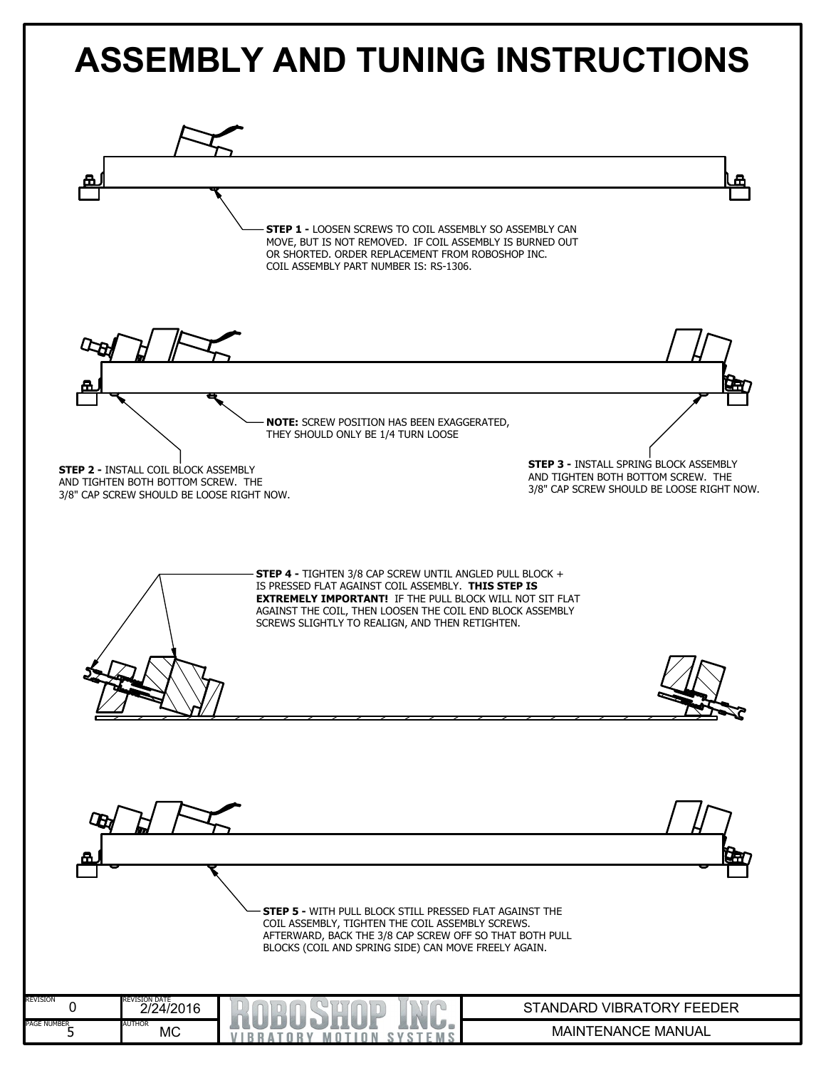